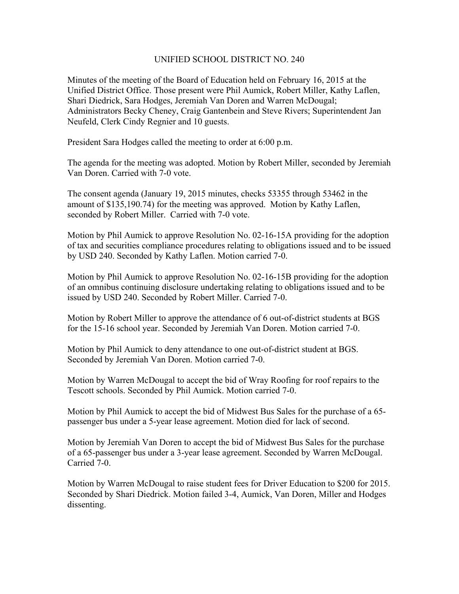## UNIFIED SCHOOL DISTRICT NO. 240

Minutes of the meeting of the Board of Education held on February 16, 2015 at the Unified District Office. Those present were Phil Aumick, Robert Miller, Kathy Laflen, Shari Diedrick, Sara Hodges, Jeremiah Van Doren and Warren McDougal; Administrators Becky Cheney, Craig Gantenbein and Steve Rivers; Superintendent Jan Neufeld, Clerk Cindy Regnier and 10 guests.

President Sara Hodges called the meeting to order at 6:00 p.m.

The agenda for the meeting was adopted. Motion by Robert Miller, seconded by Jeremiah Van Doren. Carried with 7-0 vote.

The consent agenda (January 19, 2015 minutes, checks 53355 through 53462 in the amount of \$135,190.74) for the meeting was approved. Motion by Kathy Laflen, seconded by Robert Miller. Carried with 7-0 vote.

Motion by Phil Aumick to approve Resolution No. 02-16-15A providing for the adoption of tax and securities compliance procedures relating to obligations issued and to be issued by USD 240. Seconded by Kathy Laflen. Motion carried 7-0.

Motion by Phil Aumick to approve Resolution No. 02-16-15B providing for the adoption of an omnibus continuing disclosure undertaking relating to obligations issued and to be issued by USD 240. Seconded by Robert Miller. Carried 7-0.

Motion by Robert Miller to approve the attendance of 6 out-of-district students at BGS for the 15-16 school year. Seconded by Jeremiah Van Doren. Motion carried 7-0.

Motion by Phil Aumick to deny attendance to one out-of-district student at BGS. Seconded by Jeremiah Van Doren. Motion carried 7-0.

Motion by Warren McDougal to accept the bid of Wray Roofing for roof repairs to the Tescott schools. Seconded by Phil Aumick. Motion carried 7-0.

Motion by Phil Aumick to accept the bid of Midwest Bus Sales for the purchase of a 65 passenger bus under a 5-year lease agreement. Motion died for lack of second.

Motion by Jeremiah Van Doren to accept the bid of Midwest Bus Sales for the purchase of a 65-passenger bus under a 3-year lease agreement. Seconded by Warren McDougal. Carried 7-0.

Motion by Warren McDougal to raise student fees for Driver Education to \$200 for 2015. Seconded by Shari Diedrick. Motion failed 3-4, Aumick, Van Doren, Miller and Hodges dissenting.